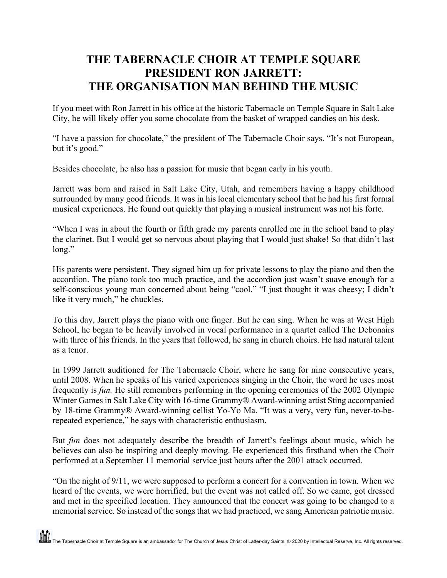## **THE TABERNACLE CHOIR AT TEMPLE SQUARE PRESIDENT RON JARRETT: THE ORGANISATION MAN BEHIND THE MUSIC**

If you meet with Ron Jarrett in his office at the historic Tabernacle on Temple Square in Salt Lake City, he will likely offer you some chocolate from the basket of wrapped candies on his desk.

"I have a passion for chocolate," the president of The Tabernacle Choir says. "It's not European, but it's good."

Besides chocolate, he also has a passion for music that began early in his youth.

Jarrett was born and raised in Salt Lake City, Utah, and remembers having a happy childhood surrounded by many good friends. It was in his local elementary school that he had his first formal musical experiences. He found out quickly that playing a musical instrument was not his forte.

"When I was in about the fourth or fifth grade my parents enrolled me in the school band to play the clarinet. But I would get so nervous about playing that I would just shake! So that didn't last long."

His parents were persistent. They signed him up for private lessons to play the piano and then the accordion. The piano took too much practice, and the accordion just wasn't suave enough for a self-conscious young man concerned about being "cool." "I just thought it was cheesy; I didn't like it very much," he chuckles.

To this day, Jarrett plays the piano with one finger. But he can sing. When he was at West High School, he began to be heavily involved in vocal performance in a quartet called The Debonairs with three of his friends. In the years that followed, he sang in church choirs. He had natural talent as a tenor.

In 1999 Jarrett auditioned for The Tabernacle Choir, where he sang for nine consecutive years, until 2008. When he speaks of his varied experiences singing in the Choir, the word he uses most frequently is *fun.* He still remembers performing in the opening ceremonies of the 2002 Olympic Winter Games in Salt Lake City with 16-time Grammy® Award-winning artist Sting accompanied by 18-time Grammy® Award-winning cellist Yo-Yo Ma. "It was a very, very fun, never-to-berepeated experience," he says with characteristic enthusiasm.

But *fun* does not adequately describe the breadth of Jarrett's feelings about music, which he believes can also be inspiring and deeply moving. He experienced this firsthand when the Choir performed at a September 11 memorial service just hours after the 2001 attack occurred.

"On the night of 9/11, we were supposed to perform a concert for a convention in town. When we heard of the events, we were horrified, but the event was not called off. So we came, got dressed and met in the specified location. They announced that the concert was going to be changed to a memorial service. So instead of the songs that we had practiced, we sang American patriotic music.